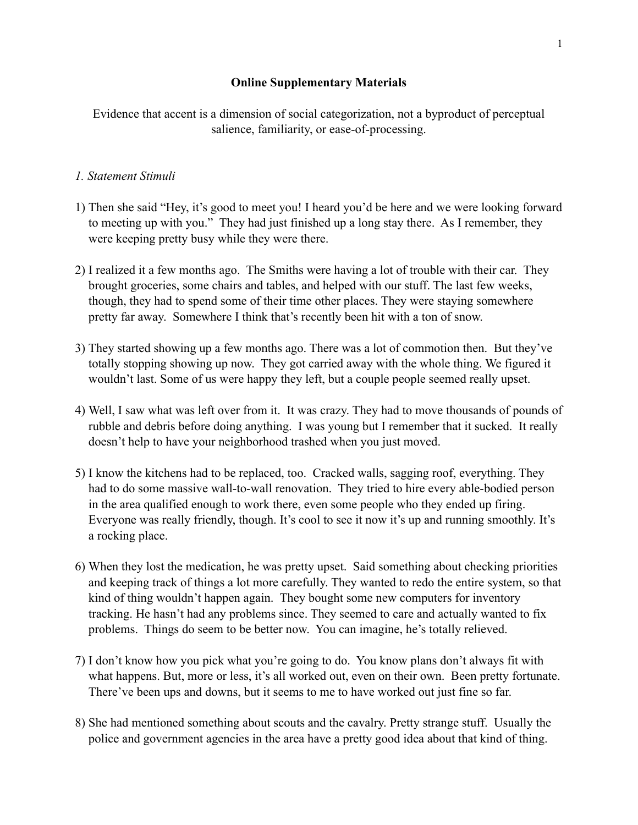## **Online Supplementary Materials**

Evidence that accent is a dimension of social categorization, not a byproduct of perceptual salience, familiarity, or ease-of-processing.

## *1. Statement Stimuli*

- 1) Then she said "Hey, it's good to meet you! I heard you'd be here and we were looking forward to meeting up with you." They had just finished up a long stay there. As I remember, they were keeping pretty busy while they were there.
- 2) I realized it a few months ago. The Smiths were having a lot of trouble with their car. They brought groceries, some chairs and tables, and helped with our stuff. The last few weeks, though, they had to spend some of their time other places. They were staying somewhere pretty far away. Somewhere I think that's recently been hit with a ton of snow.
- 3) They started showing up a few months ago. There was a lot of commotion then. But they've totally stopping showing up now. They got carried away with the whole thing. We figured it wouldn't last. Some of us were happy they left, but a couple people seemed really upset.
- 4) Well, I saw what was left over from it. It was crazy. They had to move thousands of pounds of rubble and debris before doing anything. I was young but I remember that it sucked. It really doesn't help to have your neighborhood trashed when you just moved.
- 5) I know the kitchens had to be replaced, too. Cracked walls, sagging roof, everything. They had to do some massive wall-to-wall renovation. They tried to hire every able-bodied person in the area qualified enough to work there, even some people who they ended up firing. Everyone was really friendly, though. It's cool to see it now it's up and running smoothly. It's a rocking place.
- 6) When they lost the medication, he was pretty upset. Said something about checking priorities and keeping track of things a lot more carefully. They wanted to redo the entire system, so that kind of thing wouldn't happen again. They bought some new computers for inventory tracking. He hasn't had any problems since. They seemed to care and actually wanted to fix problems. Things do seem to be better now. You can imagine, he's totally relieved.
- 7) I don't know how you pick what you're going to do. You know plans don't always fit with what happens. But, more or less, it's all worked out, even on their own. Been pretty fortunate. There've been ups and downs, but it seems to me to have worked out just fine so far.
- 8) She had mentioned something about scouts and the cavalry. Pretty strange stuff. Usually the police and government agencies in the area have a pretty good idea about that kind of thing.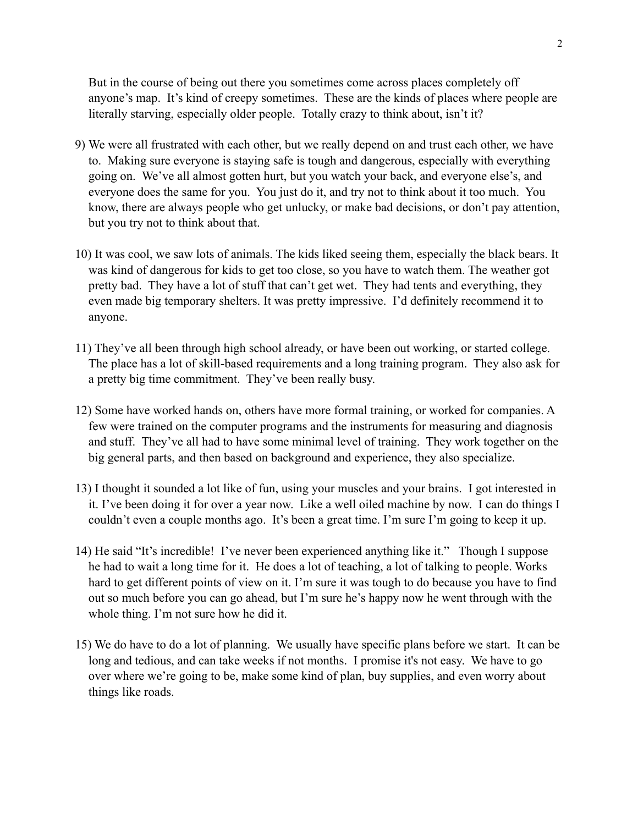But in the course of being out there you sometimes come across places completely off anyone's map. It's kind of creepy sometimes. These are the kinds of places where people are literally starving, especially older people. Totally crazy to think about, isn't it?

- 9) We were all frustrated with each other, but we really depend on and trust each other, we have to. Making sure everyone is staying safe is tough and dangerous, especially with everything going on. We've all almost gotten hurt, but you watch your back, and everyone else's, and everyone does the same for you. You just do it, and try not to think about it too much. You know, there are always people who get unlucky, or make bad decisions, or don't pay attention, but you try not to think about that.
- 10) It was cool, we saw lots of animals. The kids liked seeing them, especially the black bears. It was kind of dangerous for kids to get too close, so you have to watch them. The weather got pretty bad. They have a lot of stuff that can't get wet. They had tents and everything, they even made big temporary shelters. It was pretty impressive. I'd definitely recommend it to anyone.
- 11) They've all been through high school already, or have been out working, or started college. The place has a lot of skill-based requirements and a long training program. They also ask for a pretty big time commitment. They've been really busy.
- 12) Some have worked hands on, others have more formal training, or worked for companies. A few were trained on the computer programs and the instruments for measuring and diagnosis and stuff. They've all had to have some minimal level of training. They work together on the big general parts, and then based on background and experience, they also specialize.
- 13) I thought it sounded a lot like of fun, using your muscles and your brains. I got interested in it. I've been doing it for over a year now. Like a well oiled machine by now. I can do things I couldn't even a couple months ago. It's been a great time. I'm sure I'm going to keep it up.
- 14) He said "It's incredible! I've never been experienced anything like it." Though I suppose he had to wait a long time for it. He does a lot of teaching, a lot of talking to people. Works hard to get different points of view on it. I'm sure it was tough to do because you have to find out so much before you can go ahead, but I'm sure he's happy now he went through with the whole thing. I'm not sure how he did it.
- 15) We do have to do a lot of planning. We usually have specific plans before we start. It can be long and tedious, and can take weeks if not months. I promise it's not easy. We have to go over where we're going to be, make some kind of plan, buy supplies, and even worry about things like roads.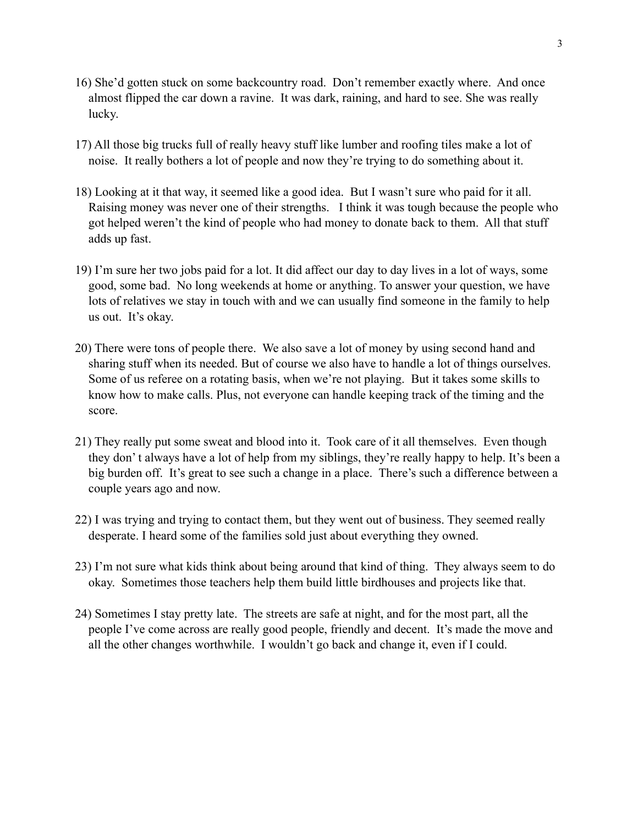- 16) She'd gotten stuck on some backcountry road. Don't remember exactly where. And once almost flipped the car down a ravine. It was dark, raining, and hard to see. She was really lucky.
- 17) All those big trucks full of really heavy stuff like lumber and roofing tiles make a lot of noise. It really bothers a lot of people and now they're trying to do something about it.
- 18) Looking at it that way, it seemed like a good idea. But I wasn't sure who paid for it all. Raising money was never one of their strengths. I think it was tough because the people who got helped weren't the kind of people who had money to donate back to them. All that stuff adds up fast.
- 19) I'm sure her two jobs paid for a lot. It did affect our day to day lives in a lot of ways, some good, some bad. No long weekends at home or anything. To answer your question, we have lots of relatives we stay in touch with and we can usually find someone in the family to help us out. It's okay.
- 20) There were tons of people there. We also save a lot of money by using second hand and sharing stuff when its needed. But of course we also have to handle a lot of things ourselves. Some of us referee on a rotating basis, when we're not playing. But it takes some skills to know how to make calls. Plus, not everyone can handle keeping track of the timing and the score.
- 21) They really put some sweat and blood into it. Took care of it all themselves. Even though they don' t always have a lot of help from my siblings, they're really happy to help. It's been a big burden off. It's great to see such a change in a place. There's such a difference between a couple years ago and now.
- 22) I was trying and trying to contact them, but they went out of business. They seemed really desperate. I heard some of the families sold just about everything they owned.
- 23) I'm not sure what kids think about being around that kind of thing. They always seem to do okay. Sometimes those teachers help them build little birdhouses and projects like that.
- 24) Sometimes I stay pretty late. The streets are safe at night, and for the most part, all the people I've come across are really good people, friendly and decent. It's made the move and all the other changes worthwhile. I wouldn't go back and change it, even if I could.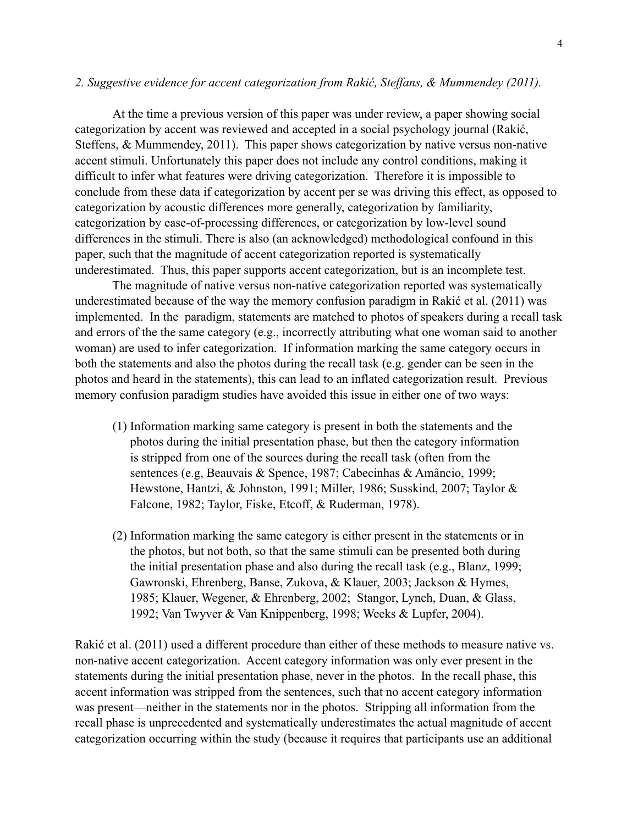## *2. Suggestive evidence for accent categorization from Rakić, Steffans, & Mummendey (2011).*

At the time a previous version of this paper was under review, a paper showing social categorization by accent was reviewed and accepted in a social psychology journal (Rakić, Steffens, & Mummendey, 2011). This paper shows categorization by native versus non-native accent stimuli. Unfortunately this paper does not include any control conditions, making it difficult to infer what features were driving categorization. Therefore it is impossible to conclude from these data if categorization by accent per se was driving this effect, as opposed to categorization by acoustic differences more generally, categorization by familiarity, categorization by ease-of-processing differences, or categorization by low-level sound differences in the stimuli. There is also (an acknowledged) methodological confound in this paper, such that the magnitude of accent categorization reported is systematically underestimated. Thus, this paper supports accent categorization, but is an incomplete test.

 The magnitude of native versus non-native categorization reported was systematically underestimated because of the way the memory confusion paradigm in Rakić et al. (2011) was implemented. In the paradigm, statements are matched to photos of speakers during a recall task and errors of the the same category (e.g., incorrectly attributing what one woman said to another woman) are used to infer categorization. If information marking the same category occurs in both the statements and also the photos during the recall task (e.g. gender can be seen in the photos and heard in the statements), this can lead to an inflated categorization result. Previous memory confusion paradigm studies have avoided this issue in either one of two ways:

- (1) Information marking same category is present in both the statements and the photos during the initial presentation phase, but then the category information is stripped from one of the sources during the recall task (often from the sentences (e.g, Beauvais & Spence, 1987; Cabecinhas & Amâncio, 1999; Hewstone, Hantzi, & Johnston, 1991; Miller, 1986; Susskind, 2007; Taylor & Falcone, 1982; Taylor, Fiske, Etcoff, & Ruderman, 1978).
- (2) Information marking the same category is either present in the statements or in the photos, but not both, so that the same stimuli can be presented both during the initial presentation phase and also during the recall task (e.g., Blanz, 1999; Gawronski, Ehrenberg, Banse, Zukova, & Klauer, 2003; Jackson & Hymes, 1985; Klauer, Wegener, & Ehrenberg, 2002; Stangor, Lynch, Duan, & Glass, 1992; Van Twyver & Van Knippenberg, 1998; Weeks & Lupfer, 2004).

Rakić et al. (2011) used a different procedure than either of these methods to measure native vs. non-native accent categorization. Accent category information was only ever present in the statements during the initial presentation phase, never in the photos. In the recall phase, this accent information was stripped from the sentences, such that no accent category information was present—neither in the statements nor in the photos. Stripping all information from the recall phase is unprecedented and systematically underestimates the actual magnitude of accent categorization occurring within the study (because it requires that participants use an additional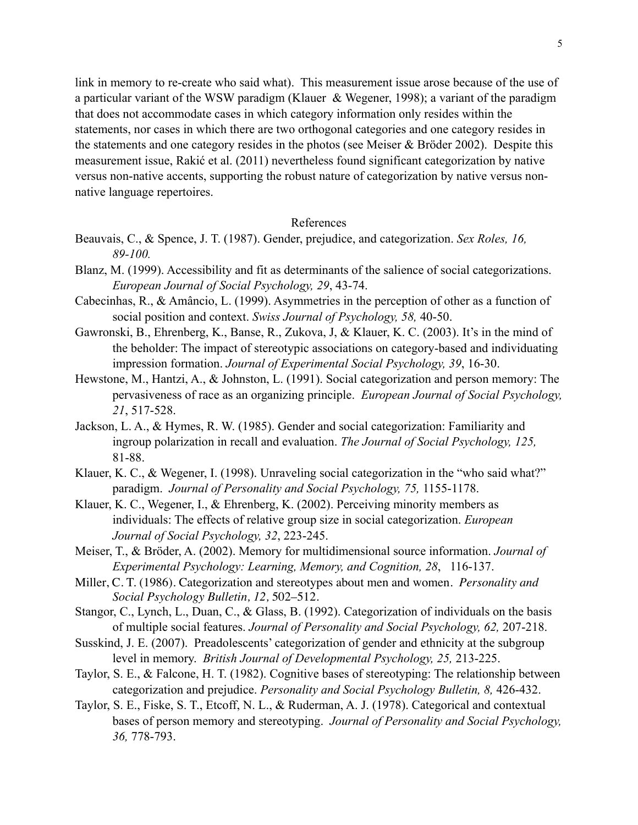5

link in memory to re-create who said what). This measurement issue arose because of the use of a particular variant of the WSW paradigm (Klauer & Wegener, 1998); a variant of the paradigm that does not accommodate cases in which category information only resides within the statements, nor cases in which there are two orthogonal categories and one category resides in the statements and one category resides in the photos (see Meiser & Bröder 2002). Despite this measurement issue, Rakić et al. (2011) nevertheless found significant categorization by native versus non-native accents, supporting the robust nature of categorization by native versus nonnative language repertoires.

## References

- Beauvais, C., & Spence, J. T. (1987). Gender, prejudice, and categorization. *Sex Roles, 16, 89-100.*
- Blanz, M. (1999). Accessibility and fit as determinants of the salience of social categorizations. *European Journal of Social Psychology, 29*, 43-74.
- Cabecinhas, R., & Amâncio, L. (1999). Asymmetries in the perception of other as a function of social position and context. *Swiss Journal of Psychology, 58,* 40-50.
- Gawronski, B., Ehrenberg, K., Banse, R., Zukova, J, & Klauer, K. C. (2003). It's in the mind of the beholder: The impact of stereotypic associations on category-based and individuating impression formation. *Journal of Experimental Social Psychology, 39*, 16-30.
- Hewstone, M., Hantzi, A., & Johnston, L. (1991). Social categorization and person memory: The pervasiveness of race as an organizing principle. *European Journal of Social Psychology, 21*, 517-528.
- Jackson, L. A., & Hymes, R. W. (1985). Gender and social categorization: Familiarity and ingroup polarization in recall and evaluation. *The Journal of Social Psychology, 125,* 81-88.
- Klauer, K. C., & Wegener, I. (1998). Unraveling social categorization in the "who said what?" paradigm. *Journal of Personality and Social Psychology, 75,* 1155-1178.
- Klauer, K. C., Wegener, I., & Ehrenberg, K. (2002). Perceiving minority members as individuals: The effects of relative group size in social categorization. *European Journal of Social Psychology, 32*, 223-245.
- Meiser, T., & Bröder, A. (2002). Memory for multidimensional source information. *Journal of Experimental Psychology: Learning, Memory, and Cognition, 28*, 116-137.
- Miller, C. T. (1986). Categorization and stereotypes about men and women. *Personality and Social Psychology Bulletin, 12,* 502–512.
- Stangor, C., Lynch, L., Duan, C., & Glass, B. (1992). Categorization of individuals on the basis of multiple social features. *Journal of Personality and Social Psychology, 62,* 207-218.
- Susskind, J. E. (2007). Preadolescents' categorization of gender and ethnicity at the subgroup level in memory. *British Journal of Developmental Psychology, 25,* 213-225.
- Taylor, S. E., & Falcone, H. T. (1982). Cognitive bases of stereotyping: The relationship between categorization and prejudice. *Personality and Social Psychology Bulletin, 8,* 426-432.
- Taylor, S. E., Fiske, S. T., Etcoff, N. L., & Ruderman, A. J. (1978). Categorical and contextual bases of person memory and stereotyping. *Journal of Personality and Social Psychology, 36,* 778-793.